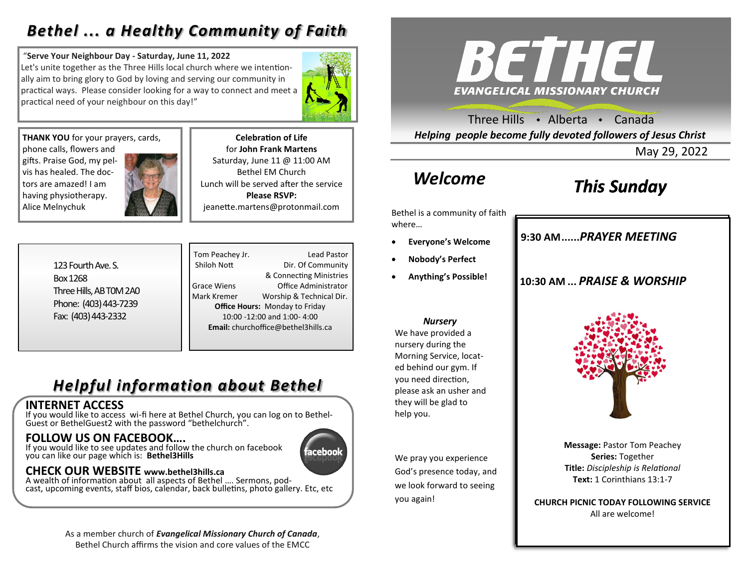## *Bethel ... a Healthy Community of Faith*

#### "**Serve Your Neighbour Day - Saturday, June 11, 2022**

Let's unite together as the Three Hills local church where we intentionally aim to bring glory to God by loving and serving our community in practical ways. Please consider looking for a way to connect and meet a practical need of your neighbour on this day!"



**THANK YOU** for your prayers, cards, phone calls, flowers and gifts. Praise God, my pelvis has healed. The doctors are amazed! I am having physiotherapy. Alice Melnychuk

**Celebration of Life**  for **John Frank Martens** Saturday, June 11 @ 11:00 AM Bethel EM Church Lunch will be served after the service **Please RSVP:**  jeanette.martens@protonmail.com

123 Fourth Ave. S. Box 1268 Three Hills, AB T0M 2A0 Phone: (403) 443-7239 Fax: (403) 443-2332

Tom Peachey Jr. **Lead Pastor** Shiloh Nott Dir. Of Community & Connecting Ministries Grace Wiens Office Administrator Mark Kremer Worship & Technical Dir. **Office Hours:** Monday to Friday 10:00 -12:00 and 1:00- 4:00 **Email:** churchoffice@bethel3hills.ca

# *Helpful information about Bethel*

## **INTERNET ACCESS**

If you would like to access wi-fi here at Bethel Church, you can log on to Bethel-Guest or BethelGuest2 with the password "bethelchurch".

## **FOLLOW US ON FACEBOOK….**

If you would like to see updates and follow the church on facebook you can like our page which is: **Bethel3Hills**



## **CHECK OUR WEBSITE www.bethel3hills.ca**

A wealth of information about all aspects of Bethel …. Sermons, podcast, upcoming events, staff bios, calendar, back bulletins, photo gallery. Etc, etc

> As a member church of *Evangelical Missionary Church of Canada*, Bethel Church affirms the vision and core values of the EMCC



Three Hills  $\rightarrow$  Alberta  $\rightarrow$  Canada *Helping people become fully devoted followers of Jesus Christ*

May 29, 2022

# *Welcome*

# *This Sunday*

**9:30 AM......***SUNDAY SCHOOL* **9:30 AM......***PRAYER MEETING* 

**10:30 AM ...** *PRAISE & WORSHIP* 

Bethel is a community of faith where…

- **Everyone's Welcome**
- **Nobody's Perfect**
- **Anything's Possible!**

#### *Nursery*

We have provided a nursery during the Morning Service, located behind our gym. If you need direction, please ask an usher and they will be glad to help you.

We pray you experience God's presence today, and we look forward to seeing you again!



**Message:** Pastor Tom Peachey **Series:** Together **Title:** *Discipleship is Relational* **Text:** 1 Corinthians 13:1-7

**CHURCH PICNIC TODAY FOLLOWING SERVICE** All are welcome!